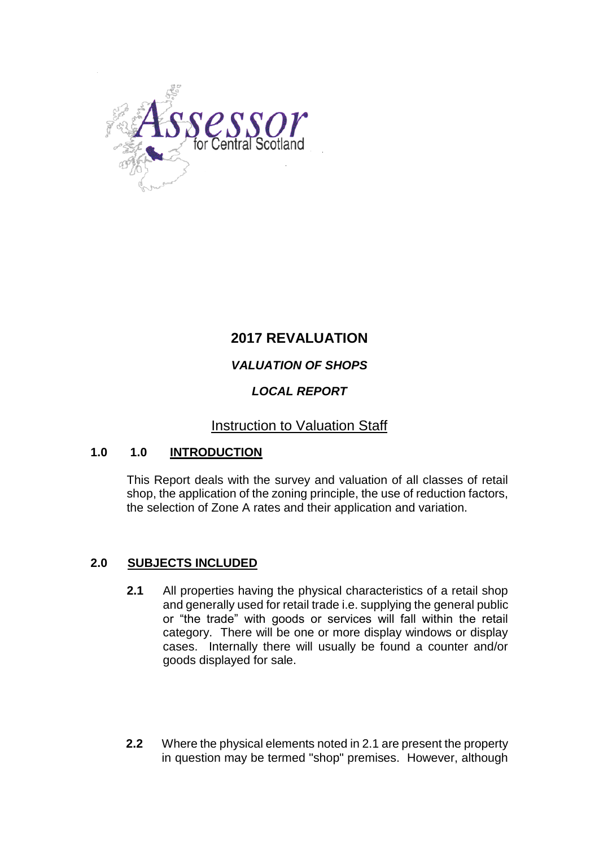

# **2017 REVALUATION**

# *VALUATION OF SHOPS*

# *LOCAL REPORT*

# Instruction to Valuation Staff

# **1.0 1.0 INTRODUCTION**

This Report deals with the survey and valuation of all classes of retail shop, the application of the zoning principle, the use of reduction factors, the selection of Zone A rates and their application and variation.

# **2.0 SUBJECTS INCLUDED**

- **2.1** All properties having the physical characteristics of a retail shop and generally used for retail trade i.e. supplying the general public or "the trade" with goods or services will fall within the retail category. There will be one or more display windows or display cases. Internally there will usually be found a counter and/or goods displayed for sale.
- **2.2** Where the physical elements noted in 2.1 are present the property in question may be termed "shop" premises. However, although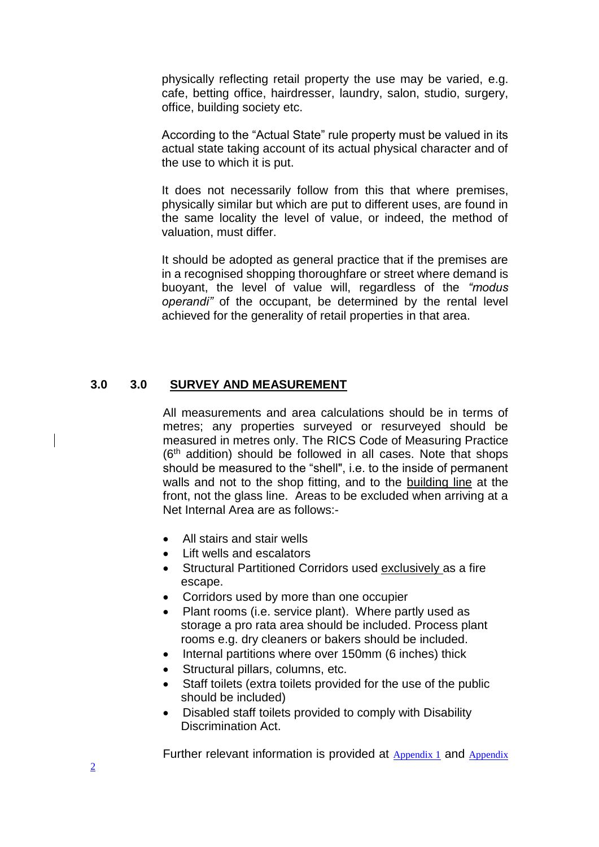physically reflecting retail property the use may be varied, e.g. cafe, betting office, hairdresser, laundry, salon, studio, surgery, office, building society etc.

According to the "Actual State" rule property must be valued in its actual state taking account of its actual physical character and of the use to which it is put.

It does not necessarily follow from this that where premises, physically similar but which are put to different uses, are found in the same locality the level of value, or indeed, the method of valuation, must differ.

It should be adopted as general practice that if the premises are in a recognised shopping thoroughfare or street where demand is buoyant, the level of value will, regardless of the *"modus operandi"* of the occupant, be determined by the rental level achieved for the generality of retail properties in that area.

### **3.0 3.0 SURVEY AND MEASUREMENT**

All measurements and area calculations should be in terms of metres; any properties surveyed or resurveyed should be measured in metres only. The RICS Code of Measuring Practice (6<sup>th</sup> addition) should be followed in all cases. Note that shops should be measured to the "shell", i.e. to the inside of permanent walls and not to the shop fitting, and to the building line at the front, not the glass line. Areas to be excluded when arriving at a Net Internal Area are as follows:-

- All stairs and stair wells
- Lift wells and escalators
- Structural Partitioned Corridors used exclusively as a fire escape.
- Corridors used by more than one occupier
- Plant rooms (i.e. service plant). Where partly used as storage a pro rata area should be included. Process plant rooms e.g. dry cleaners or bakers should be included.
- Internal partitions where over 150mm (6 inches) thick
- Structural pillars, columns, etc.
- Staff toilets (extra toilets provided for the use of the public should be included)
- Disabled staff toilets provided to comply with Disability Discrimination Act.

Further relevant information is provided at [Appendix 1](mhtml:file:////csvjb-file/w2k3svr/SLT/Reports%20Library/2010%20Local%20Practice/2010%20Retail/2010%20Retail%20Practice%20Note%20(Local).mht!file:///C:/Documents and Settings/Graham Livingstone.CSVJB/My Documents/Retail Local Practice note- draft 2a - 21 1 09.mht#Appendix1) and [Appendix](mhtml:file:////csvjb-file/w2k3svr/SLT/Reports%20Library/2010%20Local%20Practice/2010%20Retail/2010%20Retail%20Practice%20Note%20(Local).mht!file:///C:/Documents and Settings/Graham Livingstone.CSVJB/My Documents/Retail Local Practice note- draft 2a - 21 1 09.mht#app2)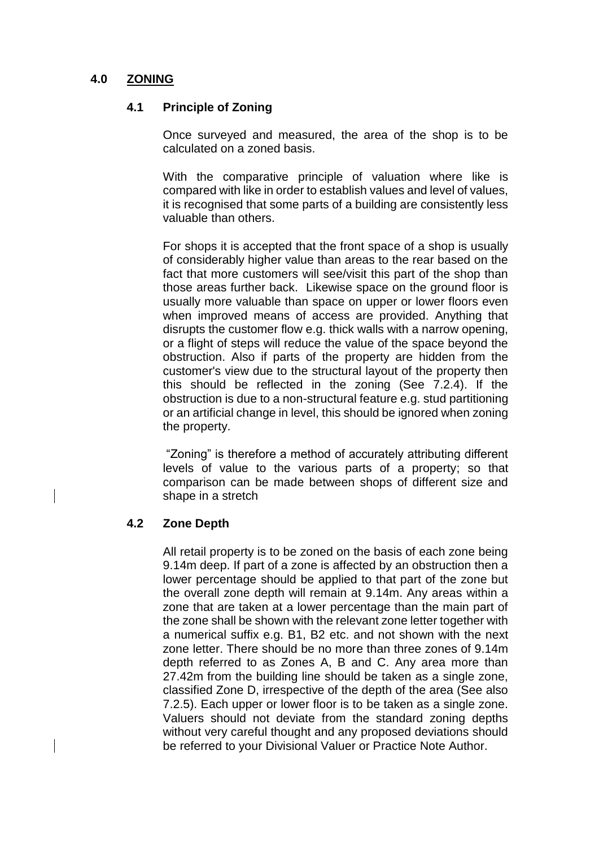# **4.0 ZONING**

### **4.1 Principle of Zoning**

Once surveyed and measured, the area of the shop is to be calculated on a zoned basis.

With the comparative principle of valuation where like is compared with like in order to establish values and level of values, it is recognised that some parts of a building are consistently less valuable than others.

For shops it is accepted that the front space of a shop is usually of considerably higher value than areas to the rear based on the fact that more customers will see/visit this part of the shop than those areas further back. Likewise space on the ground floor is usually more valuable than space on upper or lower floors even when improved means of access are provided. Anything that disrupts the customer flow e.g. thick walls with a narrow opening, or a flight of steps will reduce the value of the space beyond the obstruction. Also if parts of the property are hidden from the customer's view due to the structural layout of the property then this should be reflected in the zoning (See 7.2.4). If the obstruction is due to a non-structural feature e.g. stud partitioning or an artificial change in level, this should be ignored when zoning the property.

"Zoning" is therefore a method of accurately attributing different levels of value to the various parts of a property; so that comparison can be made between shops of different size and shape in a stretch

### **4.2 Zone Depth**

All retail property is to be zoned on the basis of each zone being 9.14m deep. If part of a zone is affected by an obstruction then a lower percentage should be applied to that part of the zone but the overall zone depth will remain at 9.14m. Any areas within a zone that are taken at a lower percentage than the main part of the zone shall be shown with the relevant zone letter together with a numerical suffix e.g. B1, B2 etc. and not shown with the next zone letter. There should be no more than three zones of 9.14m depth referred to as Zones A, B and C. Any area more than 27.42m from the building line should be taken as a single zone, classified Zone D, irrespective of the depth of the area (See also 7.2.5). Each upper or lower floor is to be taken as a single zone. Valuers should not deviate from the standard zoning depths without very careful thought and any proposed deviations should be referred to your Divisional Valuer or Practice Note Author.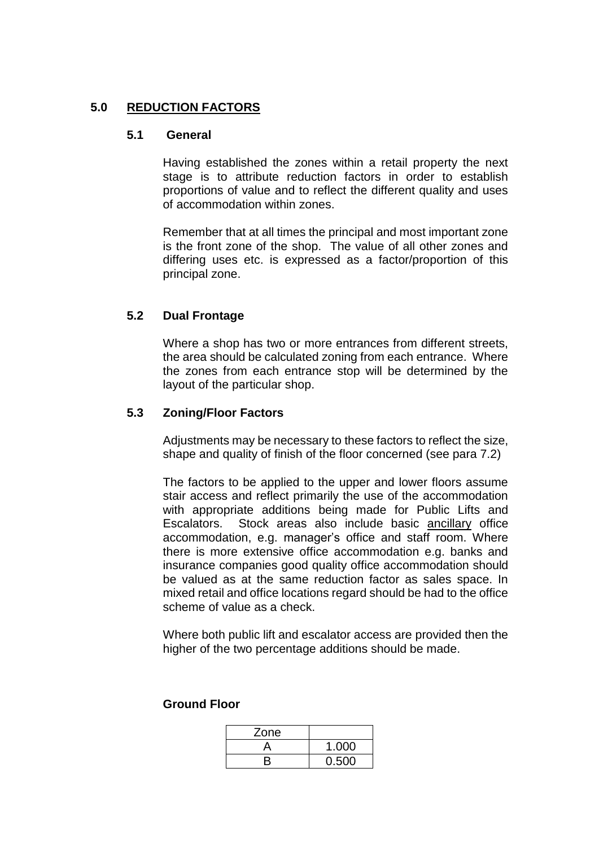### **5.0 REDUCTION FACTORS**

#### **5.1 General**

Having established the zones within a retail property the next stage is to attribute reduction factors in order to establish proportions of value and to reflect the different quality and uses of accommodation within zones.

Remember that at all times the principal and most important zone is the front zone of the shop. The value of all other zones and differing uses etc. is expressed as a factor/proportion of this principal zone.

### **5.2 Dual Frontage**

Where a shop has two or more entrances from different streets, the area should be calculated zoning from each entrance. Where the zones from each entrance stop will be determined by the layout of the particular shop.

### **5.3 Zoning/Floor Factors**

Adjustments may be necessary to these factors to reflect the size, shape and quality of finish of the floor concerned (see para 7.2)

The factors to be applied to the upper and lower floors assume stair access and reflect primarily the use of the accommodation with appropriate additions being made for Public Lifts and Escalators. Stock areas also include basic ancillary office accommodation, e.g. manager's office and staff room. Where there is more extensive office accommodation e.g. banks and insurance companies good quality office accommodation should be valued as at the same reduction factor as sales space. In mixed retail and office locations regard should be had to the office scheme of value as a check.

Where both public lift and escalator access are provided then the higher of the two percentage additions should be made.

| Zone |       |
|------|-------|
|      | 1.000 |
|      | 0.500 |

#### **Ground Floor**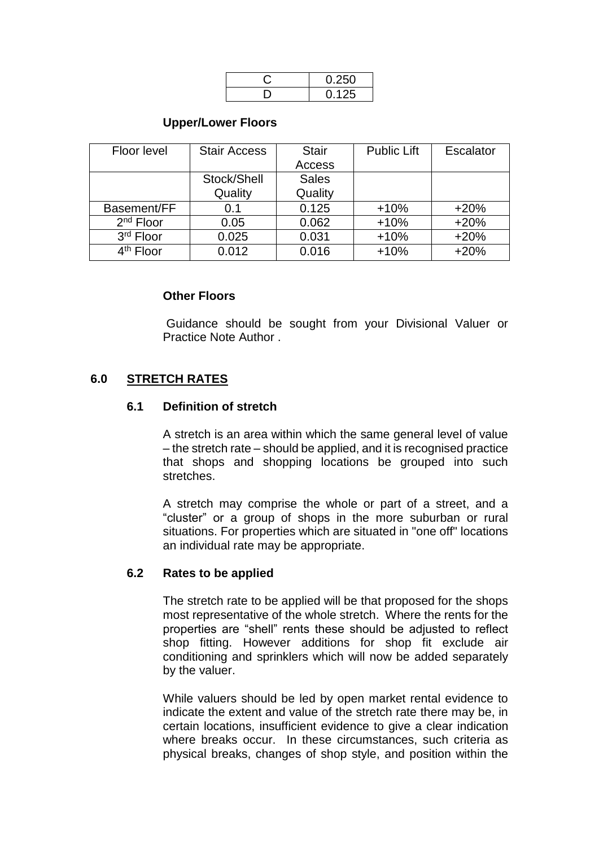| 0.250 |
|-------|
| 0.125 |

### **Upper/Lower Floors**

| Floor level | <b>Stair Access</b> | <b>Stair</b> | <b>Public Lift</b> | Escalator |
|-------------|---------------------|--------------|--------------------|-----------|
|             |                     | Access       |                    |           |
|             | Stock/Shell         | <b>Sales</b> |                    |           |
|             | Quality             | Quality      |                    |           |
| Basement/FF | 0.1                 | 0.125        | $+10%$             | $+20%$    |
| $2nd$ Floor | 0.05                | 0.062        | $+10%$             | $+20%$    |
| 3rd Floor   | 0.025               | 0.031        | $+10%$             | $+20%$    |
| $4th$ Floor | 0.012               | 0.016        | $+10%$             | $+20%$    |

#### **Other Floors**

Guidance should be sought from your Divisional Valuer or Practice Note Author .

## **6.0 STRETCH RATES**

#### **6.1 Definition of stretch**

A stretch is an area within which the same general level of value – the stretch rate – should be applied, and it is recognised practice that shops and shopping locations be grouped into such stretches.

A stretch may comprise the whole or part of a street, and a "cluster" or a group of shops in the more suburban or rural situations. For properties which are situated in "one off" locations an individual rate may be appropriate.

#### **6.2 Rates to be applied**

The stretch rate to be applied will be that proposed for the shops most representative of the whole stretch. Where the rents for the properties are "shell" rents these should be adjusted to reflect shop fitting. However additions for shop fit exclude air conditioning and sprinklers which will now be added separately by the valuer.

While valuers should be led by open market rental evidence to indicate the extent and value of the stretch rate there may be, in certain locations, insufficient evidence to give a clear indication where breaks occur. In these circumstances, such criteria as physical breaks, changes of shop style, and position within the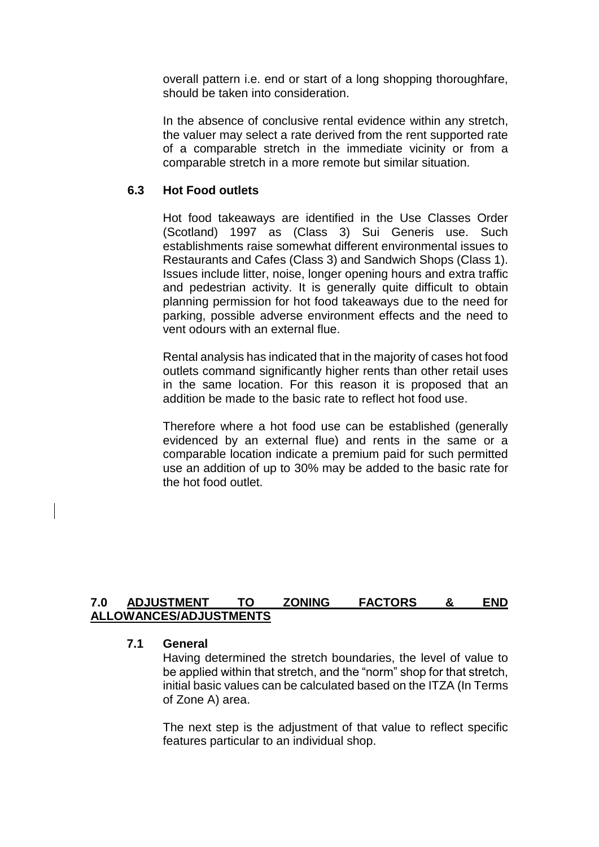overall pattern i.e. end or start of a long shopping thoroughfare, should be taken into consideration.

In the absence of conclusive rental evidence within any stretch, the valuer may select a rate derived from the rent supported rate of a comparable stretch in the immediate vicinity or from a comparable stretch in a more remote but similar situation*.* 

#### **6.3 Hot Food outlets**

Hot food takeaways are identified in the Use Classes Order (Scotland) 1997 as (Class 3) Sui Generis use. Such establishments raise somewhat different environmental issues to Restaurants and Cafes (Class 3) and Sandwich Shops (Class 1). Issues include litter, noise, longer opening hours and extra traffic and pedestrian activity. It is generally quite difficult to obtain planning permission for hot food takeaways due to the need for parking, possible adverse environment effects and the need to vent odours with an external flue.

Rental analysis has indicated that in the majority of cases hot food outlets command significantly higher rents than other retail uses in the same location. For this reason it is proposed that an addition be made to the basic rate to reflect hot food use.

Therefore where a hot food use can be established (generally evidenced by an external flue) and rents in the same or a comparable location indicate a premium paid for such permitted use an addition of up to 30% may be added to the basic rate for the hot food outlet.

## **7.0 ADJUSTMENT TO ZONING FACTORS & END ALLOWANCES/ADJUSTMENTS**

### **7.1 General**

Having determined the stretch boundaries, the level of value to be applied within that stretch, and the "norm" shop for that stretch, initial basic values can be calculated based on the ITZA (In Terms of Zone A) area.

The next step is the adjustment of that value to reflect specific features particular to an individual shop.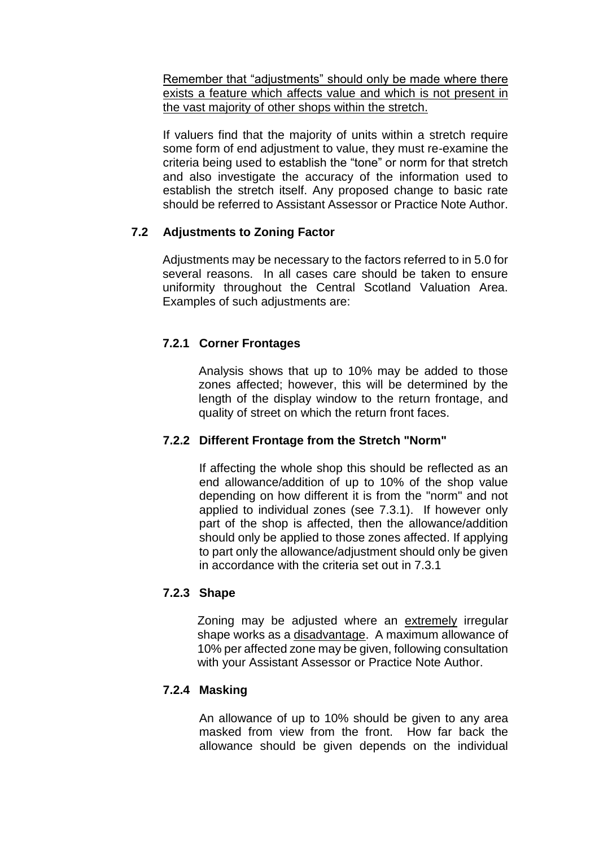Remember that "adjustments" should only be made where there exists a feature which affects value and which is not present in the vast majority of other shops within the stretch.

If valuers find that the majority of units within a stretch require some form of end adjustment to value, they must re-examine the criteria being used to establish the "tone" or norm for that stretch and also investigate the accuracy of the information used to establish the stretch itself. Any proposed change to basic rate should be referred to Assistant Assessor or Practice Note Author.

# **7.2 Adjustments to Zoning Factor**

Adjustments may be necessary to the factors referred to in 5.0 for several reasons. In all cases care should be taken to ensure uniformity throughout the Central Scotland Valuation Area. Examples of such adjustments are:

# **7.2.1 Corner Frontages**

Analysis shows that up to 10% may be added to those zones affected; however, this will be determined by the length of the display window to the return frontage, and quality of street on which the return front faces.

# **7.2.2 Different Frontage from the Stretch "Norm"**

If affecting the whole shop this should be reflected as an end allowance/addition of up to 10% of the shop value depending on how different it is from the "norm" and not applied to individual zones (see 7.3.1). If however only part of the shop is affected, then the allowance/addition should only be applied to those zones affected. If applying to part only the allowance/adjustment should only be given in accordance with the criteria set out in 7.3.1

# **7.2.3 Shape**

Zoning may be adjusted where an extremely irregular shape works as a disadvantage. A maximum allowance of 10% per affected zone may be given, following consultation with your Assistant Assessor or Practice Note Author.

# **7.2.4 Masking**

An allowance of up to 10% should be given to any area masked from view from the front. How far back the allowance should be given depends on the individual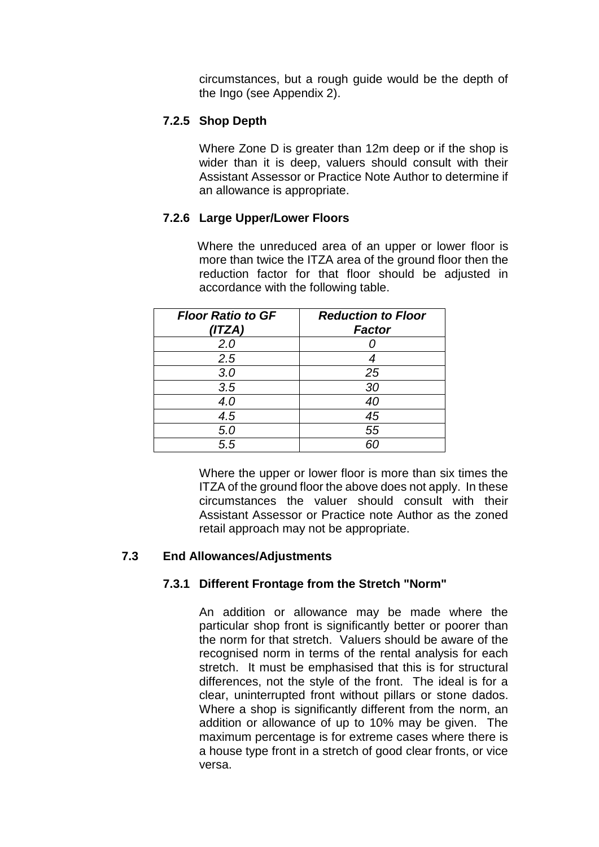circumstances, but a rough guide would be the depth of the Ingo (see Appendix 2).

# **7.2.5 Shop Depth**

Where Zone D is greater than 12m deep or if the shop is wider than it is deep, valuers should consult with their Assistant Assessor or Practice Note Author to determine if an allowance is appropriate.

# **7.2.6 Large Upper/Lower Floors**

Where the unreduced area of an upper or lower floor is more than twice the ITZA area of the ground floor then the reduction factor for that floor should be adjusted in accordance with the following table.

| <b>Floor Ratio to GF</b><br>(ITZA) | <b>Reduction to Floor</b><br><b>Factor</b> |
|------------------------------------|--------------------------------------------|
| 2.0                                |                                            |
| 2.5                                | 4                                          |
| 3.0                                | 25                                         |
| 3.5                                | 30                                         |
| 4.0                                | 40                                         |
| 4.5                                | 45                                         |
| 5.0                                | 55                                         |
| 5.5                                | ĥГ                                         |

Where the upper or lower floor is more than six times the ITZA of the ground floor the above does not apply. In these circumstances the valuer should consult with their Assistant Assessor or Practice note Author as the zoned retail approach may not be appropriate.

### **7.3 End Allowances/Adjustments**

### **7.3.1 Different Frontage from the Stretch "Norm"**

An addition or allowance may be made where the particular shop front is significantly better or poorer than the norm for that stretch. Valuers should be aware of the recognised norm in terms of the rental analysis for each stretch. It must be emphasised that this is for structural differences, not the style of the front. The ideal is for a clear, uninterrupted front without pillars or stone dados. Where a shop is significantly different from the norm, an addition or allowance of up to 10% may be given. The maximum percentage is for extreme cases where there is a house type front in a stretch of good clear fronts, or vice versa.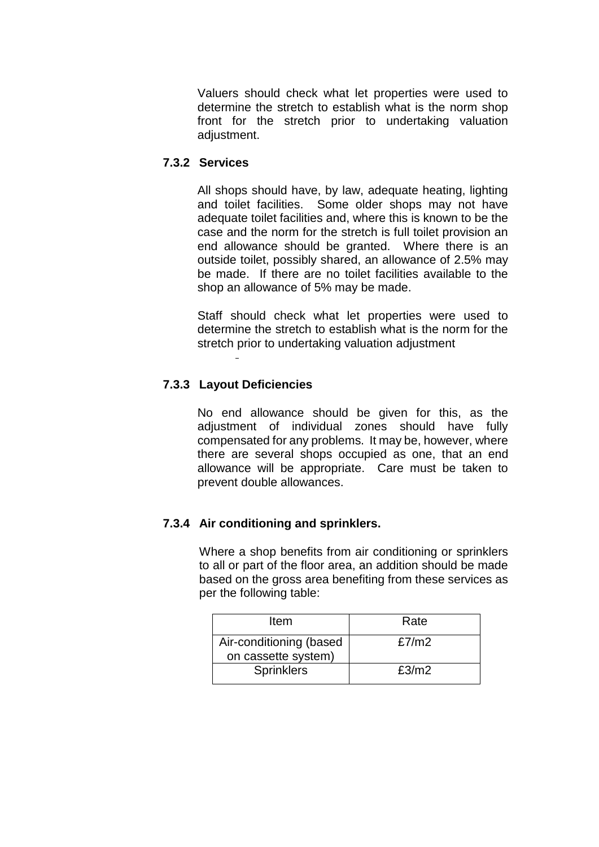Valuers should check what let properties were used to determine the stretch to establish what is the norm shop front for the stretch prior to undertaking valuation adiustment.

# **7.3.2 Services**

All shops should have, by law, adequate heating, lighting and toilet facilities. Some older shops may not have adequate toilet facilities and, where this is known to be the case and the norm for the stretch is full toilet provision an end allowance should be granted. Where there is an outside toilet, possibly shared, an allowance of 2.5% may be made. If there are no toilet facilities available to the shop an allowance of 5% may be made.

Staff should check what let properties were used to determine the stretch to establish what is the norm for the stretch prior to undertaking valuation adjustment

# **7.3.3 Layout Deficiencies**

No end allowance should be given for this, as the adjustment of individual zones should have fully compensated for any problems. It may be, however, where there are several shops occupied as one, that an end allowance will be appropriate. Care must be taken to prevent double allowances.

# **7.3.4 Air conditioning and sprinklers.**

Where a shop benefits from air conditioning or sprinklers to all or part of the floor area, an addition should be made based on the gross area benefiting from these services as per the following table:

| Item                                           | Rate  |
|------------------------------------------------|-------|
| Air-conditioning (based<br>on cassette system) | £7/m2 |
| <b>Sprinklers</b>                              | £3/m2 |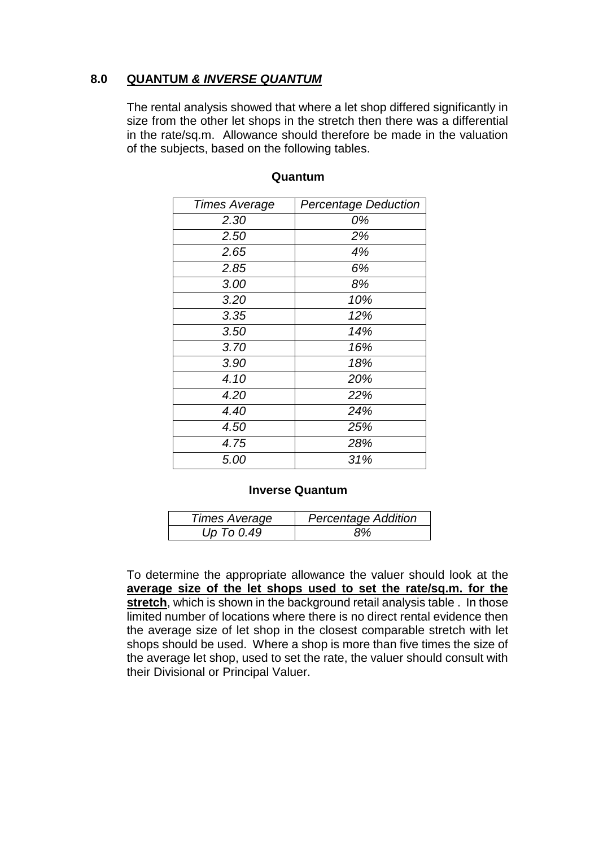# **8.0 QUANTUM** *& INVERSE QUANTUM*

The rental analysis showed that where a let shop differed significantly in size from the other let shops in the stretch then there was a differential in the rate/sq.m. Allowance should therefore be made in the valuation of the subjects, based on the following tables.

| <b>Times Average</b> | <b>Percentage Deduction</b> |
|----------------------|-----------------------------|
| 2.30                 | 0%                          |
| 2.50                 | 2%                          |
| 2.65                 | 4%                          |
| 2.85                 | 6%                          |
| 3.00                 | 8%                          |
| 3.20                 | 10%                         |
| 3.35                 | 12%                         |
| 3.50                 | 14%                         |
| 3.70                 | 16%                         |
| 3.90                 | 18%                         |
| 4.10                 | 20%                         |
| 4.20                 | 22%                         |
| 4.40                 | 24%                         |
| 4.50                 | 25%                         |
| 4.75                 | 28%                         |
| 5.00                 | 31%                         |

### **Quantum**

### **Inverse Quantum**

| <b>Times Average</b> | <b>Percentage Addition</b> |
|----------------------|----------------------------|
| Up To 0.49           | ९%                         |

To determine the appropriate allowance the valuer should look at the **average size of the let shops used to set the rate/sq.m. for the stretch**, which is shown in the background retail analysis table . In those limited number of locations where there is no direct rental evidence then the average size of let shop in the closest comparable stretch with let shops should be used. Where a shop is more than five times the size of the average let shop, used to set the rate, the valuer should consult with their Divisional or Principal Valuer.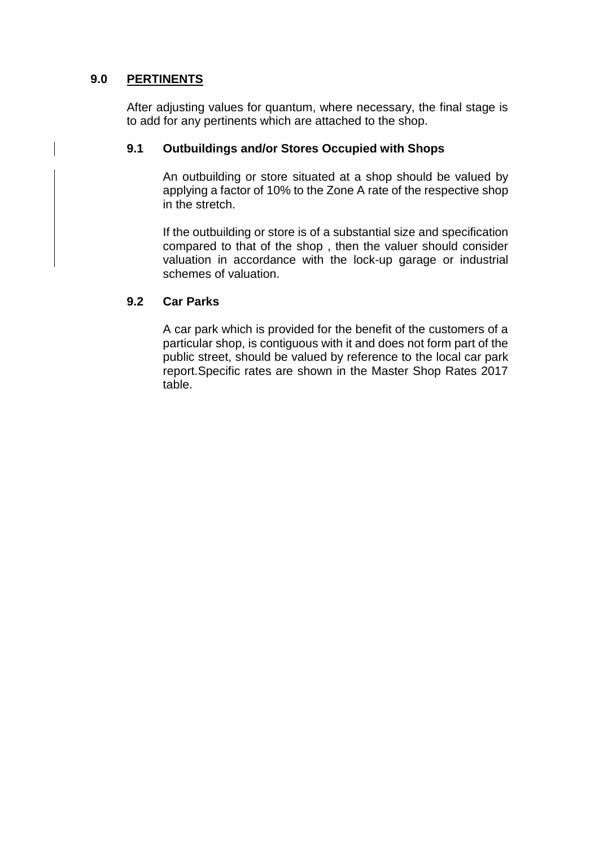# **9.0 PERTINENTS**

After adjusting values for quantum, where necessary, the final stage is to add for any pertinents which are attached to the shop.

## **9.1 Outbuildings and/or Stores Occupied with Shops**

An outbuilding or store situated at a shop should be valued by applying a factor of 10% to the Zone A rate of the respective shop in the stretch.

If the outbuilding or store is of a substantial size and specification compared to that of the shop , then the valuer should consider valuation in accordance with the lock-up garage or industrial schemes of valuation.

## **9.2 Car Parks**

A car park which is provided for the benefit of the customers of a particular shop, is contiguous with it and does not form part of the public street, should be valued by reference to the local car park report.Specific rates are shown in the Master Shop Rates 2017 table.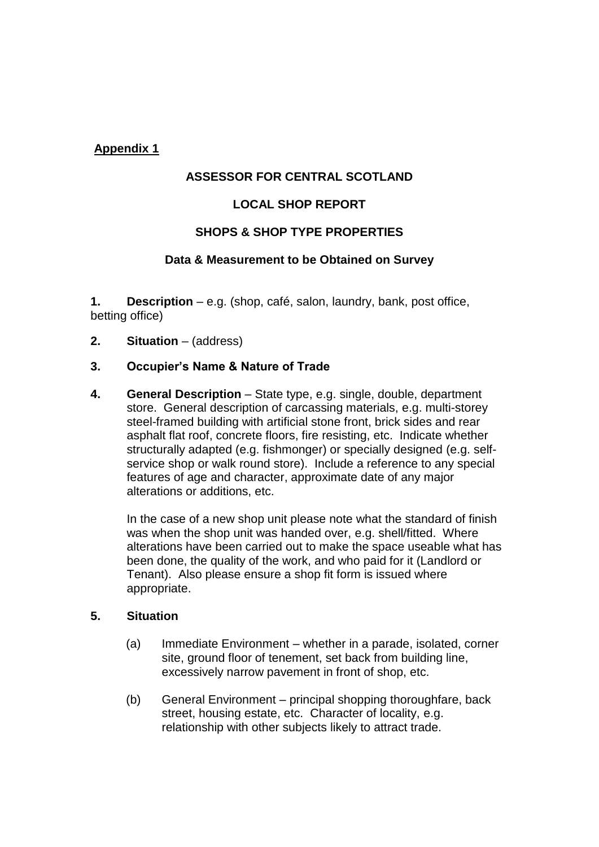# **Appendix 1**

### **ASSESSOR FOR CENTRAL SCOTLAND**

## **LOCAL SHOP REPORT**

## **SHOPS & SHOP TYPE PROPERTIES**

### **Data & Measurement to be Obtained on Survey**

**1. Description** – e.g. (shop, café, salon, laundry, bank, post office, betting office)

**2. Situation** – (address)

### **3. Occupier's Name & Nature of Trade**

**4. General Description** – State type, e.g. single, double, department store. General description of carcassing materials, e.g. multi-storey steel-framed building with artificial stone front, brick sides and rear asphalt flat roof, concrete floors, fire resisting, etc. Indicate whether structurally adapted (e.g. fishmonger) or specially designed (e.g. selfservice shop or walk round store). Include a reference to any special features of age and character, approximate date of any major alterations or additions, etc.

In the case of a new shop unit please note what the standard of finish was when the shop unit was handed over, e.g. shell/fitted. Where alterations have been carried out to make the space useable what has been done, the quality of the work, and who paid for it (Landlord or Tenant). Also please ensure a shop fit form is issued where appropriate.

#### **5. Situation**

- (a) Immediate Environment whether in a parade, isolated, corner site, ground floor of tenement, set back from building line, excessively narrow pavement in front of shop, etc.
- (b) General Environment principal shopping thoroughfare, back street, housing estate, etc. Character of locality, e.g. relationship with other subjects likely to attract trade.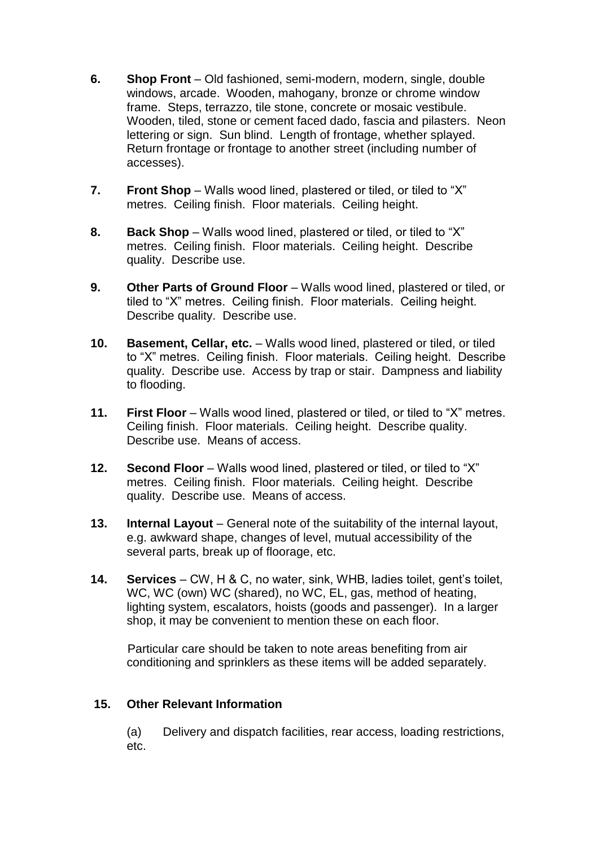- **6. Shop Front** Old fashioned, semi-modern, modern, single, double windows, arcade. Wooden, mahogany, bronze or chrome window frame. Steps, terrazzo, tile stone, concrete or mosaic vestibule. Wooden, tiled, stone or cement faced dado, fascia and pilasters. Neon lettering or sign. Sun blind. Length of frontage, whether splayed. Return frontage or frontage to another street (including number of accesses).
- **7. Front Shop** Walls wood lined, plastered or tiled, or tiled to "X" metres. Ceiling finish. Floor materials. Ceiling height.
- **8. Back Shop** Walls wood lined, plastered or tiled, or tiled to "X" metres. Ceiling finish. Floor materials. Ceiling height. Describe quality. Describe use.
- **9. Other Parts of Ground Floor** Walls wood lined, plastered or tiled, or tiled to "X" metres. Ceiling finish. Floor materials. Ceiling height. Describe quality. Describe use.
- **10. Basement, Cellar, etc.** Walls wood lined, plastered or tiled, or tiled to "X" metres. Ceiling finish. Floor materials. Ceiling height. Describe quality. Describe use. Access by trap or stair. Dampness and liability to flooding.
- **11. First Floor** Walls wood lined, plastered or tiled, or tiled to "X" metres. Ceiling finish. Floor materials. Ceiling height. Describe quality. Describe use. Means of access.
- **12. Second Floor** Walls wood lined, plastered or tiled, or tiled to "X" metres. Ceiling finish. Floor materials. Ceiling height. Describe quality. Describe use. Means of access.
- **13. Internal Layout** General note of the suitability of the internal layout, e.g. awkward shape, changes of level, mutual accessibility of the several parts, break up of floorage, etc.
- **14. Services** CW, H & C, no water, sink, WHB, ladies toilet, gent's toilet, WC, WC (own) WC (shared), no WC, EL, gas, method of heating, lighting system, escalators, hoists (goods and passenger). In a larger shop, it may be convenient to mention these on each floor.

 Particular care should be taken to note areas benefiting from air conditioning and sprinklers as these items will be added separately.

# **15. Other Relevant Information**

(a) Delivery and dispatch facilities, rear access, loading restrictions, etc.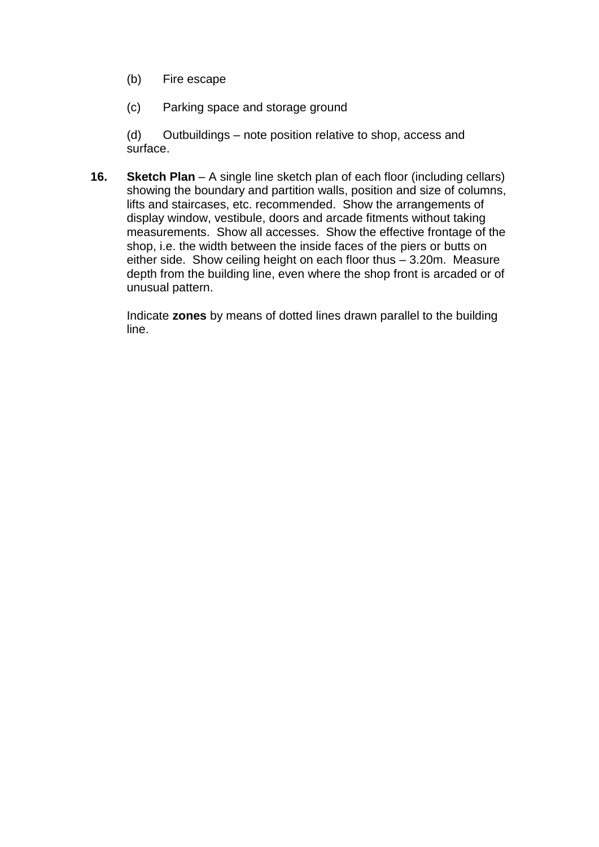## (b) Fire escape

(c) Parking space and storage ground

(d) Outbuildings – note position relative to shop, access and surface.

**16. Sketch Plan** – A single line sketch plan of each floor (including cellars) showing the boundary and partition walls, position and size of columns, lifts and staircases, etc. recommended. Show the arrangements of display window, vestibule, doors and arcade fitments without taking measurements. Show all accesses. Show the effective frontage of the shop, i.e. the width between the inside faces of the piers or butts on either side. Show ceiling height on each floor thus – 3.20m. Measure depth from the building line, even where the shop front is arcaded or of unusual pattern.

Indicate **zones** by means of dotted lines drawn parallel to the building line.